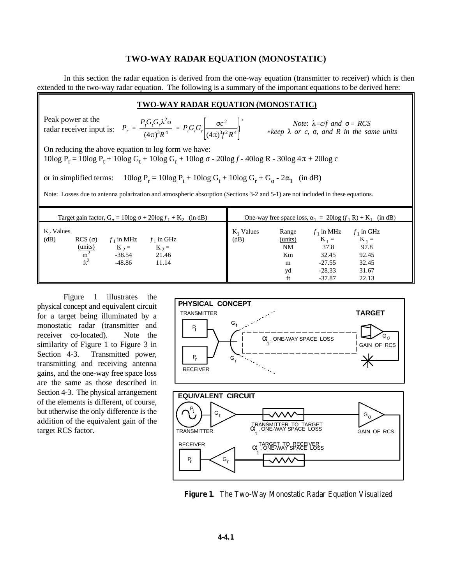## **TWO-WAY RADAR EQUATION (MONOSTATIC)**

In this section the radar equation is derived from the one-way equation (transmitter to receiver) which is then extended to the two-way radar equation. The following is a summary of the important equations to be derived here:

### **TWO-WAY RADAR EQUATION (MONOSTATIC)**

 $P_r = \frac{P_t G_t G_r \lambda^2 \sigma}{(4 \lambda)^3 P_t^4}$  $\frac{P_t G_t G_r \lambda^2 \sigma}{(4\pi)^3 R^4} = P_t G_t G_r \frac{\sigma c^2}{(4\pi)^3 f^2}$  $(4\pi)^3 f^2 R^4$  $\lambda$  *Note*:  $\lambda$ *=c/f* and  $\sigma$ *= RCS*  $*keep \lambda or c, \sigma, and R in the same units$ Peak power at the radar receiver input is: On reducing the above equation to log form we have: 10log  $P_r = 10 \log P_t + 10 \log G_t + 10 \log G_r + 10 \log \sigma - 20 \log f - 40 \log R - 30 \log 4\pi + 20 \log c$ or in simplified terms:  $10\log P_r = 10\log P_t + 10\log G_t + 10\log G_r + G_{\sigma} - 2\alpha_1$  (in dB) Note: Losses due to antenna polarization and atmospheric absorption (Sections 3-2 and 5-1) are not included in these equations. Target gain factor,  $G_{\alpha} = 10 \log \sigma + 20 \log f_1 + K_2$  (in dB) One-way free space loss,  $\alpha_1 = 20 \log (f_1 R) + K_1$  (in dB)  $K_2$  Values<br>(dB) (dB) RCS ( $\sigma$ )  $f_1$  in MHz  $f_1$  in GHz (dB) (units)  $K_1 = K_2$  $\frac{\text{(units)}}{2}$   $\text{K}_2 = \text{K}_2 = \text{N}$   $\text{N}$  37.8 97.8  $m^2$  -38.54 21.46 **Km** 32.45 92.45  $\text{ft}^2$  -48.86 11.14 **m** -27.55 32.45  $K_1$  Values Range  $f_1$  in MHz  $f_1$  in GHz<br>(dB)  $\underline{\text{units}}$   $\underline{\text{K}}_1 =$   $\underline{\text{K}}_1 =$  $\frac{K}{37.8}$   $\frac{K}{97.8}$ 

Figure 1 illustrates the physical concept and equivalent circuit for a target being illuminated by a monostatic radar (transmitter and receiver co-located). Note the similarity of Figure 1 to Figure 3 in Section 4-3. Transmitted power, transmitting and receiving antenna gains, and the one-way free space loss are the same as those described in Section 4-3. The physical arrangement of the elements is different, of course, but otherwise the only difference is the addition of the equivalent gain of the target RCS factor.



yd -28.33 31.67 ft -37.87 22.13

**Figure 1**. The Two-Way Monostatic Radar Equation Visualized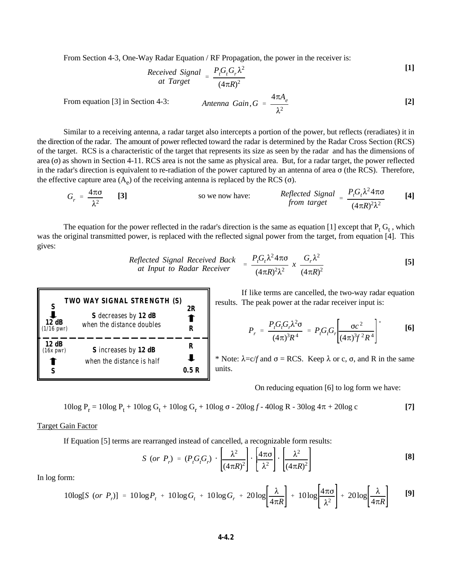From Section 4-3, One-Way Radar Equation / RF Propagation, the power in the receiver is:

*Received Signal* = 
$$
\frac{P_t G_t G_r \lambda^2}{(4 \pi R)^2}
$$
 [1]

 $A$ *ntenna Gain*,  $G = \frac{4\pi A_e}{\sigma}$  $\lambda^2$ From equation [3] in Section 4-3: **A**ntenna Gain  $G = \frac{4\pi a e}{g}$  [2]

Similar to a receiving antenna, a radar target also intercepts a portion of the power, but reflects (reradiates) it in the direction of the radar. The amount of power reflected toward the radar is determined by the Radar Cross Section (RCS) of the target. RCS is a characteristic of the target that represents its size as seen by the radar and has the dimensions of area  $(\sigma)$  as shown in Section 4-11. RCS area is not the same as physical area. But, for a radar target, the power reflected in the radar's direction is equivalent to re-radiation of the power captured by an antenna of area  $\sigma$  (the RCS). Therefore, the effective capture area  $(A_e)$  of the receiving antenna is replaced by the RCS ( $\sigma$ ).

$$
G_r = \frac{4\pi\sigma}{\lambda^2}
$$
 [3] so we now have: *Reflected Signal* =  $\frac{P_f G_t \lambda^2 4\pi\sigma}{(4\pi R)^2 \lambda^2}$  [4]

The equation for the power reflected in the radar's direction is the same as equation [1] except that  $P_t G_t$ , which was the original transmitted power, is replaced with the reflected signal power from the target, from equation [4]. This gives:

*Reflected Signal Received Back at Input to Radar Receiver* 
$$
= \frac{P_t G_t \lambda^2 4\pi \sigma}{(4\pi R)^2 \lambda^2} \times \frac{G_r \lambda^2}{(4\pi R)^2}
$$
 [5]



If like terms are cancelled, the two-way radar equation results. The peak power at the radar receiver input is:

$$
P_r = \frac{P_t G_t G_r \lambda^2 \sigma}{(4\pi)^3 R^4} = P_t G_t G_r \left[ \frac{\sigma c^2}{(4\pi)^3 f^2 R^4} \right]^*
$$
 [6]

 $\ddot{\phantom{0}}$ 

\* Note:  $\lambda = c/f$  and  $\sigma = RCS$ . Keep  $\lambda$  or c,  $\sigma$ , and R in the same units.

On reducing equation [6] to log form we have:

$$
10\log P_r = 10\log P_t + 10\log G_t + 10\log G_r + 10\log \sigma - 20\log f - 40\log R - 30\log 4\pi + 20\log c
$$
 [7]

# Target Gain Factor

If Equation [5] terms are rearranged instead of cancelled, a recognizable form results:

$$
S\ (or\ P_r) = (P_t G_t G_r) \cdot \left[\frac{\lambda^2}{(4\pi R)^2}\right] \cdot \left[\frac{4\pi\sigma}{\lambda^2}\right] \cdot \left[\frac{\lambda^2}{(4\pi R)^2}\right]
$$
 [8]

In log form:

$$
10\log[S\text{ (or }P_r)] = 10\log P_t + 10\log G_t + 10\log G_r + 20\log\left[\frac{\lambda}{4\pi R}\right] + 10\log\left[\frac{4\pi\sigma}{\lambda^2}\right] + 20\log\left[\frac{\lambda}{4\pi R}\right] \quad [9]
$$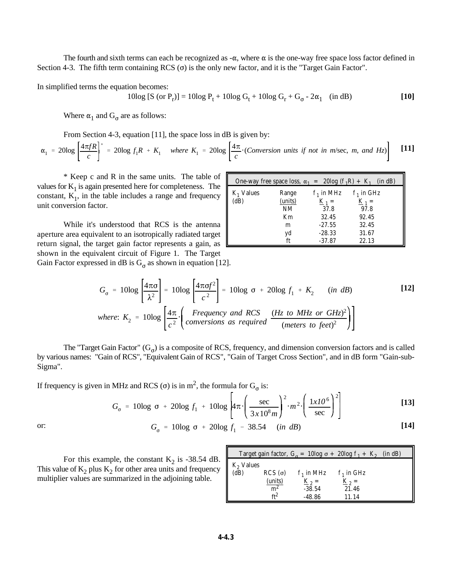The fourth and sixth terms can each be recognized as  $-\alpha$ , where  $\alpha$  is the one-way free space loss factor defined in Section 4-3. The fifth term containing RCS  $\sigma$  is the only new factor, and it is the "Target Gain Factor".

In simplified terms the equation becomes:

10log [S (or P<sub>r</sub>)] = 10log P<sub>t</sub> + 10log G<sub>t</sub> + 10log G<sub>r</sub> + G<sub>σ</sub> - 2
$$
\alpha_1
$$
 (in dB) [10]

Where  $\alpha_1$  and  $G_{\sigma}$  are as follows:

From Section 4-3, equation [11], the space loss in dB is given by:

$$
\alpha_1 = 20 \log \left[ \frac{4\pi fR}{c} \right]^* = 20 \log f_1 R + K_1 \quad \text{where } K_1 = 20 \log \left[ \frac{4\pi}{c} \cdot (Consersion \text{ units if not in m/sec, m, and Hz}) \right] \tag{11}
$$

\* Keep c and R in the same units. The table of values for  $K_1$  is again presented here for completeness. The constant,  $K_1$ , in the table includes a range and frequency unit conversion factor.

While it's understood that RCS is the antenna aperture area equivalent to an isotropically radiated target return signal, the target gain factor represents a gain, as shown in the equivalent circuit of Figure 1. The Target Gain Factor expressed in dB is  $G_{\sigma}$  as shown in equation [12].

| One-way free space loss, $\alpha_1 = 20\log (f_1R) + K_1$ |                  |                         | (in dB)                 |
|-----------------------------------------------------------|------------------|-------------------------|-------------------------|
| $K_1$ Values<br>(dB)                                      | Range<br>(units) | $f_1$ in MHz<br>$K_1 =$ | $f_1$ in GHz<br>$K_1 =$ |
|                                                           | <b>NM</b>        | 37.8                    | 97.8                    |
|                                                           | Km               | 32.45                   | 92.45                   |
|                                                           | m                | $-27.55$                | 32.45                   |
|                                                           | yd               | $-28.33$                | 31.67                   |
|                                                           | ft               | $-37.87$                | 22.13                   |

$$
G_{\sigma} = 10 \log \left[ \frac{4 \pi \sigma}{\lambda^2} \right] = 10 \log \left[ \frac{4 \pi \sigma f^2}{c^2} \right] = 10 \log \sigma + 20 \log f_1 + K_2 \quad (in \, dB)
$$
 [12]  
where:  $K_2 = 10 \log \left[ \frac{4 \pi}{c^2} \cdot \left( \frac{Frequency \text{ and RCS}}{conversion \text{ as required}} \frac{(Hz \text{ to MHz or GHz})^2}{(meters \text{ to feet})^2} \right) \right]$ 

The "Target Gain Factor"  $(G_{\sigma})$  is a composite of RCS, frequency, and dimension conversion factors and is called by various names: "Gain of RCS", "Equivalent Gain of RCS", "Gain of Target Cross Section", and in dB form "Gain-sub-Sigma".

If frequency is given in MHz and RCS ( $\sigma$ ) is in m<sup>2</sup>, the formula for  $G_{\sigma}$  is:

$$
G_{\sigma} = 10\log \sigma + 20\log f_1 + 10\log \left| 4\pi \cdot \left( \frac{\sec}{3x10^8 m} \right)^2 \cdot m^2 \cdot \left( \frac{1x10^6}{\sec} \right)^2 \right|
$$
 [13]

or:  $G_{\sigma} = 10\log \sigma + 20\log f_1 - 38.54$  (*in dB*) [14]

For this example, the constant  $K_2$  is -38.54 dB. This value of  $K_2$  plus  $K_2$  for other area units and frequency multiplier values are summarized in the adjoining table.

|             |                    |              | Target gain factor, $G_{\sigma} = 10 \log \sigma + 20 \log f_1 + K_2$ (in dB) |  |
|-------------|--------------------|--------------|-------------------------------------------------------------------------------|--|
| $K2$ Values |                    |              |                                                                               |  |
| (dB)        | $RCS$ ( $\sigma$ ) | $f_1$ in MHz | $f_1$ in GHz                                                                  |  |
|             | (units)            | $K_{2} =$    | $K_{2} =$                                                                     |  |
|             | m <sup>2</sup>     | $-38.54$     | 21.46                                                                         |  |
|             | ft <sup>2</sup>    | $-48.86$     | 11.14                                                                         |  |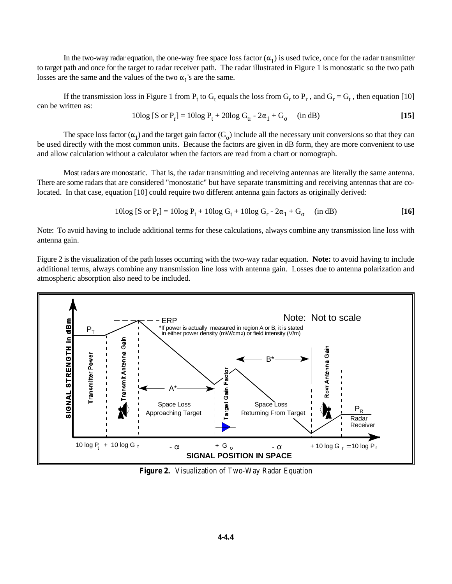In the two-way radar equation, the one-way free space loss factor  $(\alpha_1)$  is used twice, once for the radar transmitter to target path and once for the target to radar receiver path. The radar illustrated in Figure 1 is monostatic so the two path losses are the same and the values of the two  $\alpha_1$ 's are the same.

If the transmission loss in Figure 1 from  $P_t$  to  $G_t$  equals the loss from  $G_r$  to  $P_r$ , and  $G_r = G_t$ , then equation [10] can be written as:

10log [S or P<sub>r</sub>] = 10log P<sub>t</sub> + 20log G<sub>tr</sub> - 2
$$
\alpha_1
$$
 + G<sub>o</sub> (in dB) [15]

The space loss factor  $(\alpha_1)$  and the target gain factor  $(G_\alpha)$  include all the necessary unit conversions so that they can be used directly with the most common units. Because the factors are given in dB form, they are more convenient to use and allow calculation without a calculator when the factors are read from a chart or nomograph.

Most radars are monostatic. That is, the radar transmitting and receiving antennas are literally the same antenna. There are some radars that are considered "monostatic" but have separate transmitting and receiving antennas that are colocated. In that case, equation [10] could require two different antenna gain factors as originally derived:

10log [S or P<sub>r</sub>] = 10log P<sub>t</sub> + 10log G<sub>t</sub> + 10log G<sub>r</sub> - 2
$$
\alpha_1
$$
 + G<sub>o</sub> (in dB) [16]

Note: To avoid having to include additional terms for these calculations, always combine any transmission line loss with antenna gain.

Figure 2 is the visualization of the path losses occurring with the two-way radar equation. **Note:** to avoid having to include additional terms, always combine any transmission line loss with antenna gain. Losses due to antenna polarization and atmospheric absorption also need to be included.



**Figure 2.** Visualization of Two-Way Radar Equation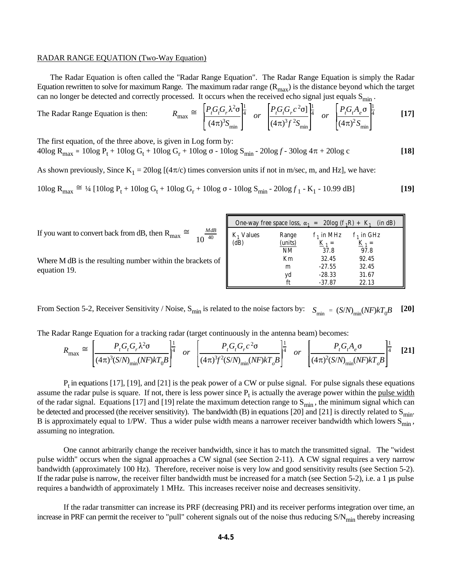#### RADAR RANGE EQUATION (Two-Way Equation)

 The Radar Equation is often called the "Radar Range Equation". The Radar Range Equation is simply the Radar Equation rewritten to solve for maximum Range. The maximum radar range  $(R_{max})$  is the distance beyond which the target can no longer be detected and correctly processed. It occurs when the received echo signal just equals  $S_{min}$ .

The Radar Range Equation is then: 
$$
R_{\text{max}} \cong \left[\frac{P_i G_i G_r \lambda^2 \sigma}{(4\pi)^3 S_{\text{min}}}\right]^{\frac{1}{4}} \quad or \quad \left[\frac{P_i G_i G_r c^2 \sigma}{(4\pi)^3 f^2 S_{\text{min}}}\right]^{\frac{1}{4}} \quad or \quad \left[\frac{P_i G_i A_e \sigma}{(4\pi)^2 S_{\text{min}}}\right]^{\frac{1}{4}} \quad [17]
$$

The first equation, of the three above, is given in Log form by:

 $40\log R_{\text{max}} \approx 10\log P_t + 10\log G_t + 10\log G_r + 10\log \sigma - 10\log S_{\text{min}} - 20\log f - 30\log 4\pi + 20\log c$  [18]

As shown previously, Since  $K_1 = 20\log [(4\pi/c)$  times conversion units if not in m/sec, m, and Hz], we have:

$$
10\log R_{\max} \cong \frac{1}{4} \left[ 10\log P_t + 10\log G_t + 10\log G_r + 10\log \sigma - 10\log S_{\min} - 20\log f_1 - K_1 - 10.99 \, dB \right] \tag{19}
$$

|                                                                                              |                      | One-way free space loss, $\alpha_1 = 20\log (f_1R) + K_1$ |                         | (in dB)                                            |
|----------------------------------------------------------------------------------------------|----------------------|-----------------------------------------------------------|-------------------------|----------------------------------------------------|
| $\frac{MdB}{10^{-40}}$<br>If you want to convert back from dB, then R <sub>max</sub> $\cong$ | $K_1$ Values<br>(dB) | Range<br>(units)                                          | $f_1$ in MHz<br>$K_1 =$ | $\cdot$ <sub>1</sub> in GHz<br>$\underline{K}_1 =$ |
|                                                                                              |                      | NΜ                                                        | 37.8                    | 97.8                                               |
| Where M dB is the resulting number within the brackets of                                    |                      | Km<br>m                                                   | 32.45<br>$-27.55$       | 92.45<br>32.45                                     |
| equation 19.                                                                                 |                      | vd                                                        | $-28.33$                | 31.67                                              |
|                                                                                              |                      |                                                           | $-37.87$                | 22.13                                              |

From Section 5-2, Receiver Sensitivity / Noise, S<sub>min</sub> is related to the noise factors by:  $S_{\min} = (S/N)_{\min}(NF)kT_0B$  [20]

The Radar Range Equation for a tracking radar (target continuously in the antenna beam) becomes:

$$
R_{\text{max}} \cong \left[\frac{P_t G_t G_r \lambda^2 \sigma}{(4\pi)^3 (S/N)_{\text{min}} (NF) kT_0 B}\right]^{\frac{1}{4}} \quad or \quad \left[\frac{P_t G_t G_r c^2 \sigma}{(4\pi)^3 f^2 (S/N)_{\text{min}} (NF) kT_0 B}\right]^{\frac{1}{4}} \quad or \quad \left[\frac{P_t G_t A_e \sigma}{(4\pi)^2 (S/N)_{\text{min}} (NF) kT_0 B}\right]^{\frac{1}{4}} \quad [21]
$$

 $P_t$  in equations [17], [19], and [21] is the peak power of a CW or pulse signal. For pulse signals these equations assume the radar pulse is square. If not, there is less power since  $P_t$  is actually the average power within the pulse width of the radar signal. Equations [17] and [19] relate the maximum detection range to  $S_{min}$ , the minimum signal which can be detected and processed (the receiver sensitivity). The bandwidth (B) in equations [20] and [21] is directly related to  $S_{min}$ . B is approximately equal to 1/PW. Thus a wider pulse width means a narrower receiver bandwidth which lowers  $S_{min}$ , assuming no integration.

One cannot arbitrarily change the receiver bandwidth, since it has to match the transmitted signal. The "widest pulse width" occurs when the signal approaches a CW signal (see Section 2-11). A CW signal requires a very narrow bandwidth (approximately 100 Hz). Therefore, receiver noise is very low and good sensitivity results (see Section 5-2). If the radar pulse is narrow, the receiver filter bandwidth must be increased for a match (see Section 5-2), i.e. a 1 µs pulse requires a bandwidth of approximately 1 MHz. This increases receiver noise and decreases sensitivity.

If the radar transmitter can increase its PRF (decreasing PRI) and its receiver performs integration over time, an increase in PRF can permit the receiver to "pull" coherent signals out of the noise thus reducing  $S/N_{\text{min}}$  thereby increasing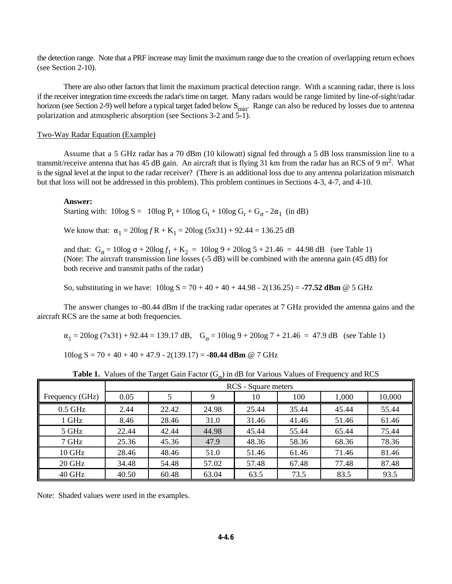the detection range. Note that a PRF increase may limit the maximum range due to the creation of overlapping return echoes (see Section 2-10).

There are also other factors that limit the maximum practical detection range. With a scanning radar, there is loss if the receiver integration time exceeds the radar's time on target. Many radars would be range limited by line-of-sight/radar horizon (see Section 2-9) well before a typical target faded below  $S_{\text{min}}$ . Range can also be reduced by losses due to antenna polarization and atmospheric absorption (see Sections 3-2 and 5-1).

#### Two-Way Radar Equation (Example)

Assume that a 5 GHz radar has a 70 dBm (10 kilowatt) signal fed through a 5 dB loss transmission line to a transmit/receive antenna that has 45 dB gain. An aircraft that is flying 31 km from the radar has an RCS of 9 m<sup>2</sup>. What is the signal level at the input to the radar receiver? (There is an additional loss due to any antenna polarization mismatch but that loss will not be addressed in this problem). This problem continues in Sections 4-3, 4-7, and 4-10.

#### **Answer:**

Starting with:  $10\log S = 10\log P_t + 10\log G_t + 10\log G_r + G_{\sigma} - 2\alpha_1$  (in dB)

We know that:  $\alpha_1 = 20\log fR + K_1 = 20\log (5x31) + 92.44 = 136.25 dB$ 

and that:  $G_{\sigma} = 10\log \sigma + 20\log f_1 + K_2 = 10\log 9 + 20\log 5 + 21.46 = 44.98 \text{ dB}$  (see Table 1) (Note: The aircraft transmission line losses (-5 dB) will be combined with the antenna gain (45 dB) for both receive and transmit paths of the radar)

So, substituting in we have: 10log S = 70 + 40 + 40 + 44.98 - 2(136.25) = **-77.52 dBm** @ 5 GHz

The answer changes to -80.44 dBm if the tracking radar operates at 7 GHz provided the antenna gains and the aircraft RCS are the same at both frequencies.

 $\alpha_1 = 20\log(7x31) + 92.44 = 139.17 \text{ dB}, \quad G_\sigma = 10\log 9 + 20\log 7 + 21.46 = 47.9 \text{ dB}$  (see Table 1)

10log S = 70 + 40 + 40 + 47.9 - 2(139.17) = **-80.44 dBm** @ 7 GHz

|                 | RCS - Square meters |       |       |       |       |       |        |
|-----------------|---------------------|-------|-------|-------|-------|-------|--------|
| Frequency (GHz) | 0.05                |       | 9     | 10    | 100   | 1,000 | 10,000 |
| $0.5$ GHz       | 2.44                | 22.42 | 24.98 | 25.44 | 35.44 | 45.44 | 55.44  |
| 1 GHz           | 8.46                | 28.46 | 31.0  | 31.46 | 41.46 | 51.46 | 61.46  |
| 5 GHz           | 22.44               | 42.44 | 44.98 | 45.44 | 55.44 | 65.44 | 75.44  |
| 7 GHz           | 25.36               | 45.36 | 47.9  | 48.36 | 58.36 | 68.36 | 78.36  |
| 10 GHz          | 28.46               | 48.46 | 51.0  | 51.46 | 61.46 | 71.46 | 81.46  |
| 20 GHz          | 34.48               | 54.48 | 57.02 | 57.48 | 67.48 | 77.48 | 87.48  |
| 40 GHz          | 40.50               | 60.48 | 63.04 | 63.5  | 73.5  | 83.5  | 93.5   |

**Table 1.** Values of the Target Gain Factor  $(G_{\alpha})$  in dB for Various Values of Frequency and RCS

Note: Shaded values were used in the examples.